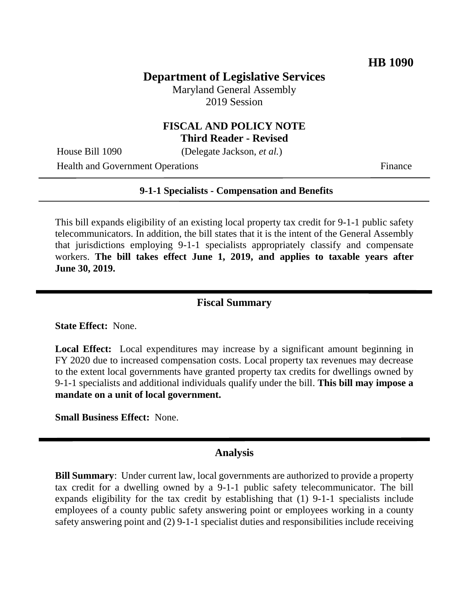# **Department of Legislative Services**

Maryland General Assembly 2019 Session

### **FISCAL AND POLICY NOTE Third Reader - Revised**

House Bill 1090 (Delegate Jackson, *et al.*)

Health and Government Operations Finance

#### **9-1-1 Specialists - Compensation and Benefits**

This bill expands eligibility of an existing local property tax credit for 9-1-1 public safety telecommunicators. In addition, the bill states that it is the intent of the General Assembly that jurisdictions employing 9-1-1 specialists appropriately classify and compensate workers. **The bill takes effect June 1, 2019, and applies to taxable years after June 30, 2019.**

#### **Fiscal Summary**

**State Effect:** None.

**Local Effect:** Local expenditures may increase by a significant amount beginning in FY 2020 due to increased compensation costs. Local property tax revenues may decrease to the extent local governments have granted property tax credits for dwellings owned by 9-1-1 specialists and additional individuals qualify under the bill. **This bill may impose a mandate on a unit of local government.**

**Small Business Effect:** None.

#### **Analysis**

**Bill Summary**: Under current law, local governments are authorized to provide a property tax credit for a dwelling owned by a 9-1-1 public safety telecommunicator. The bill expands eligibility for the tax credit by establishing that (1) 9-1-1 specialists include employees of a county public safety answering point or employees working in a county safety answering point and (2) 9-1-1 specialist duties and responsibilities include receiving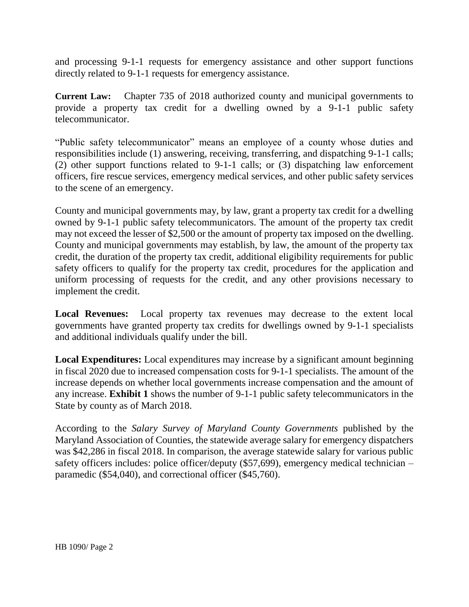and processing 9-1-1 requests for emergency assistance and other support functions directly related to 9-1-1 requests for emergency assistance.

**Current Law:** Chapter 735 of 2018 authorized county and municipal governments to provide a property tax credit for a dwelling owned by a 9-1-1 public safety telecommunicator.

"Public safety telecommunicator" means an employee of a county whose duties and responsibilities include (1) answering, receiving, transferring, and dispatching 9-1-1 calls; (2) other support functions related to 9-1-1 calls; or (3) dispatching law enforcement officers, fire rescue services, emergency medical services, and other public safety services to the scene of an emergency.

County and municipal governments may, by law, grant a property tax credit for a dwelling owned by 9-1-1 public safety telecommunicators. The amount of the property tax credit may not exceed the lesser of \$2,500 or the amount of property tax imposed on the dwelling. County and municipal governments may establish, by law, the amount of the property tax credit, the duration of the property tax credit, additional eligibility requirements for public safety officers to qualify for the property tax credit, procedures for the application and uniform processing of requests for the credit, and any other provisions necessary to implement the credit.

**Local Revenues:** Local property tax revenues may decrease to the extent local governments have granted property tax credits for dwellings owned by 9-1-1 specialists and additional individuals qualify under the bill.

**Local Expenditures:** Local expenditures may increase by a significant amount beginning in fiscal 2020 due to increased compensation costs for 9-1-1 specialists. The amount of the increase depends on whether local governments increase compensation and the amount of any increase. **Exhibit 1** shows the number of 9-1-1 public safety telecommunicators in the State by county as of March 2018.

According to the *Salary Survey of Maryland County Governments* published by the Maryland Association of Counties, the statewide average salary for emergency dispatchers was \$42,286 in fiscal 2018. In comparison, the average statewide salary for various public safety officers includes: police officer/deputy (\$57,699), emergency medical technician – paramedic (\$54,040), and correctional officer (\$45,760).